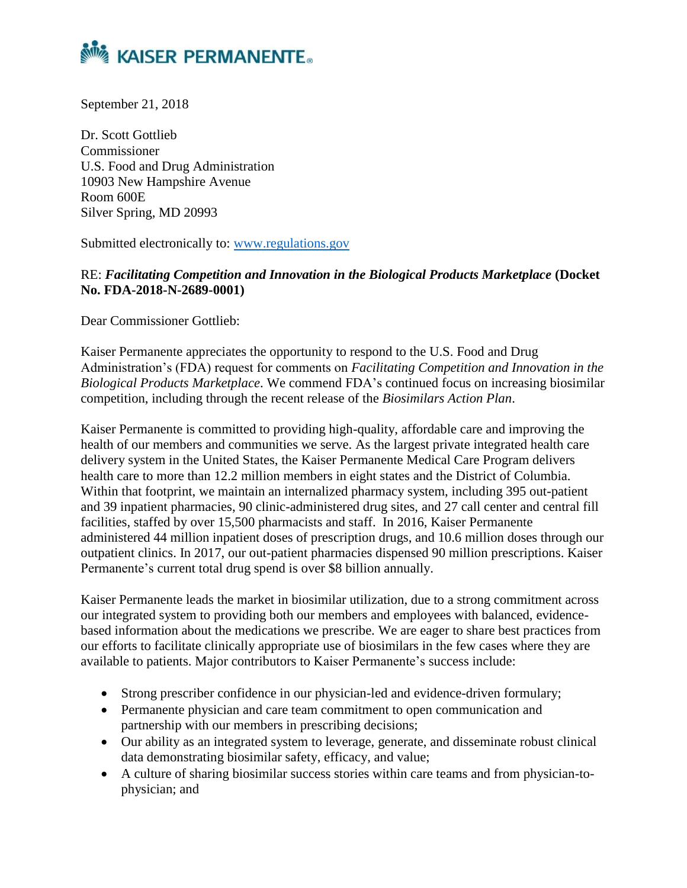

September 21, 2018

Dr. Scott Gottlieb Commissioner U.S. Food and Drug Administration 10903 New Hampshire Avenue Room 600E Silver Spring, MD 20993

Submitted electronically to: [www.regulations.gov](http://www.regulations.gov/)

RE: *Facilitating Competition and Innovation in the Biological Products Marketplace* **(Docket No. FDA-2018-N-2689-0001)**

Dear Commissioner Gottlieb:

Kaiser Permanente appreciates the opportunity to respond to the U.S. Food and Drug Administration's (FDA) request for comments on *Facilitating Competition and Innovation in the Biological Products Marketplace*. We commend FDA's continued focus on increasing biosimilar competition, including through the recent release of the *Biosimilars Action Plan*.

Kaiser Permanente is committed to providing high-quality, affordable care and improving the health of our members and communities we serve. As the largest private integrated health care delivery system in the United States, the Kaiser Permanente Medical Care Program delivers health care to more than 12.2 million members in eight states and the District of Columbia. Within that footprint, we maintain an internalized pharmacy system, including 395 out-patient and 39 inpatient pharmacies, 90 clinic-administered drug sites, and 27 call center and central fill facilities, staffed by over 15,500 pharmacists and staff. In 2016, Kaiser Permanente administered 44 million inpatient doses of prescription drugs, and 10.6 million doses through our outpatient clinics. In 2017, our out-patient pharmacies dispensed 90 million prescriptions. Kaiser Permanente's current total drug spend is over \$8 billion annually.

Kaiser Permanente leads the market in biosimilar utilization, due to a strong commitment across our integrated system to providing both our members and employees with balanced, evidencebased information about the medications we prescribe. We are eager to share best practices from our efforts to facilitate clinically appropriate use of biosimilars in the few cases where they are available to patients. Major contributors to Kaiser Permanente's success include:

- Strong prescriber confidence in our physician-led and evidence-driven formulary;
- Permanente physician and care team commitment to open communication and partnership with our members in prescribing decisions;
- Our ability as an integrated system to leverage, generate, and disseminate robust clinical data demonstrating biosimilar safety, efficacy, and value;
- A culture of sharing biosimilar success stories within care teams and from physician-tophysician; and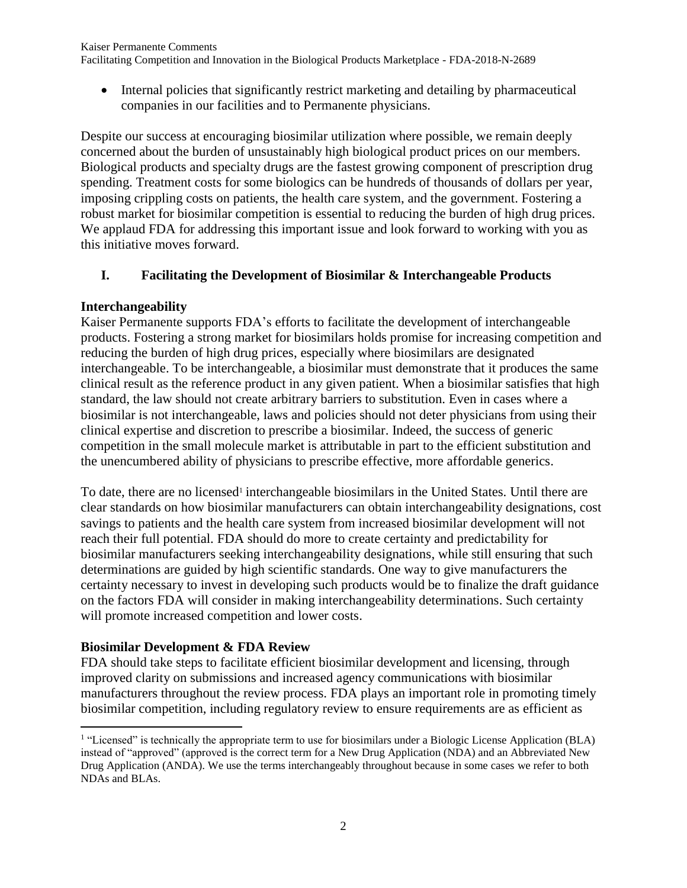Kaiser Permanente Comments

Facilitating Competition and Innovation in the Biological Products Marketplace - FDA-2018-N-2689

• Internal policies that significantly restrict marketing and detailing by pharmaceutical companies in our facilities and to Permanente physicians.

Despite our success at encouraging biosimilar utilization where possible, we remain deeply concerned about the burden of unsustainably high biological product prices on our members. Biological products and specialty drugs are the fastest growing component of prescription drug spending. Treatment costs for some biologics can be hundreds of thousands of dollars per year, imposing crippling costs on patients, the health care system, and the government. Fostering a robust market for biosimilar competition is essential to reducing the burden of high drug prices. We applaud FDA for addressing this important issue and look forward to working with you as this initiative moves forward.

## **I. Facilitating the Development of Biosimilar & Interchangeable Products**

### **Interchangeability**

Kaiser Permanente supports FDA's efforts to facilitate the development of interchangeable products. Fostering a strong market for biosimilars holds promise for increasing competition and reducing the burden of high drug prices, especially where biosimilars are designated interchangeable. To be interchangeable, a biosimilar must demonstrate that it produces the same clinical result as the reference product in any given patient. When a biosimilar satisfies that high standard, the law should not create arbitrary barriers to substitution. Even in cases where a biosimilar is not interchangeable, laws and policies should not deter physicians from using their clinical expertise and discretion to prescribe a biosimilar. Indeed, the success of generic competition in the small molecule market is attributable in part to the efficient substitution and the unencumbered ability of physicians to prescribe effective, more affordable generics.

To date, there are no licensed<sup>1</sup> interchangeable biosimilars in the United States. Until there are clear standards on how biosimilar manufacturers can obtain interchangeability designations, cost savings to patients and the health care system from increased biosimilar development will not reach their full potential. FDA should do more to create certainty and predictability for biosimilar manufacturers seeking interchangeability designations, while still ensuring that such determinations are guided by high scientific standards. One way to give manufacturers the certainty necessary to invest in developing such products would be to finalize the draft guidance on the factors FDA will consider in making interchangeability determinations. Such certainty will promote increased competition and lower costs.

### **Biosimilar Development & FDA Review**

 $\overline{\phantom{a}}$ 

FDA should take steps to facilitate efficient biosimilar development and licensing, through improved clarity on submissions and increased agency communications with biosimilar manufacturers throughout the review process. FDA plays an important role in promoting timely biosimilar competition, including regulatory review to ensure requirements are as efficient as

<sup>&</sup>lt;sup>1</sup> "Licensed" is technically the appropriate term to use for biosimilars under a Biologic License Application (BLA) instead of "approved" (approved is the correct term for a New Drug Application (NDA) and an Abbreviated New Drug Application (ANDA). We use the terms interchangeably throughout because in some cases we refer to both NDAs and BLAs.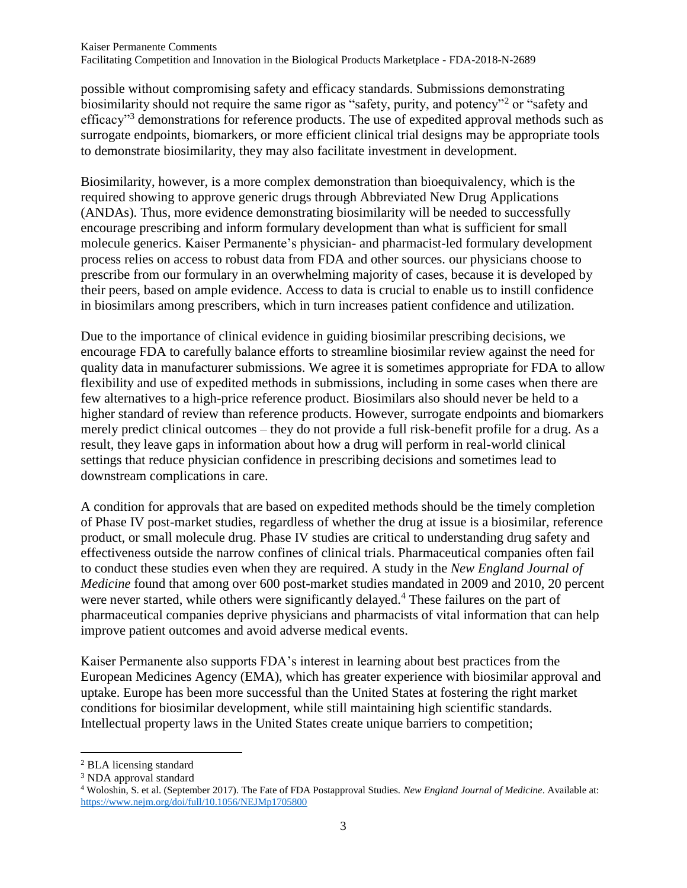possible without compromising safety and efficacy standards. Submissions demonstrating biosimilarity should not require the same rigor as "safety, purity, and potency"<sup>2</sup> or "safety and efficacy"<sup>3</sup> demonstrations for reference products. The use of expedited approval methods such as surrogate endpoints, biomarkers, or more efficient clinical trial designs may be appropriate tools to demonstrate biosimilarity, they may also facilitate investment in development.

Biosimilarity, however, is a more complex demonstration than bioequivalency, which is the required showing to approve generic drugs through Abbreviated New Drug Applications (ANDAs). Thus, more evidence demonstrating biosimilarity will be needed to successfully encourage prescribing and inform formulary development than what is sufficient for small molecule generics. Kaiser Permanente's physician- and pharmacist-led formulary development process relies on access to robust data from FDA and other sources. our physicians choose to prescribe from our formulary in an overwhelming majority of cases, because it is developed by their peers, based on ample evidence. Access to data is crucial to enable us to instill confidence in biosimilars among prescribers, which in turn increases patient confidence and utilization.

Due to the importance of clinical evidence in guiding biosimilar prescribing decisions, we encourage FDA to carefully balance efforts to streamline biosimilar review against the need for quality data in manufacturer submissions. We agree it is sometimes appropriate for FDA to allow flexibility and use of expedited methods in submissions, including in some cases when there are few alternatives to a high-price reference product. Biosimilars also should never be held to a higher standard of review than reference products. However, surrogate endpoints and biomarkers merely predict clinical outcomes – they do not provide a full risk-benefit profile for a drug. As a result, they leave gaps in information about how a drug will perform in real-world clinical settings that reduce physician confidence in prescribing decisions and sometimes lead to downstream complications in care.

A condition for approvals that are based on expedited methods should be the timely completion of Phase IV post-market studies, regardless of whether the drug at issue is a biosimilar, reference product, or small molecule drug. Phase IV studies are critical to understanding drug safety and effectiveness outside the narrow confines of clinical trials. Pharmaceutical companies often fail to conduct these studies even when they are required. A study in the *New England Journal of Medicine* found that among over 600 post-market studies mandated in 2009 and 2010, 20 percent were never started, while others were significantly delayed.<sup>4</sup> These failures on the part of pharmaceutical companies deprive physicians and pharmacists of vital information that can help improve patient outcomes and avoid adverse medical events.

Kaiser Permanente also supports FDA's interest in learning about best practices from the European Medicines Agency (EMA), which has greater experience with biosimilar approval and uptake. Europe has been more successful than the United States at fostering the right market conditions for biosimilar development, while still maintaining high scientific standards. Intellectual property laws in the United States create unique barriers to competition;

 $\overline{a}$ <sup>2</sup> BLA licensing standard

<sup>&</sup>lt;sup>3</sup> NDA approval standard

<sup>4</sup> Woloshin, S. et al. (September 2017). The Fate of FDA Postapproval Studies. *New England Journal of Medicine*. Available at: <https://www.nejm.org/doi/full/10.1056/NEJMp1705800>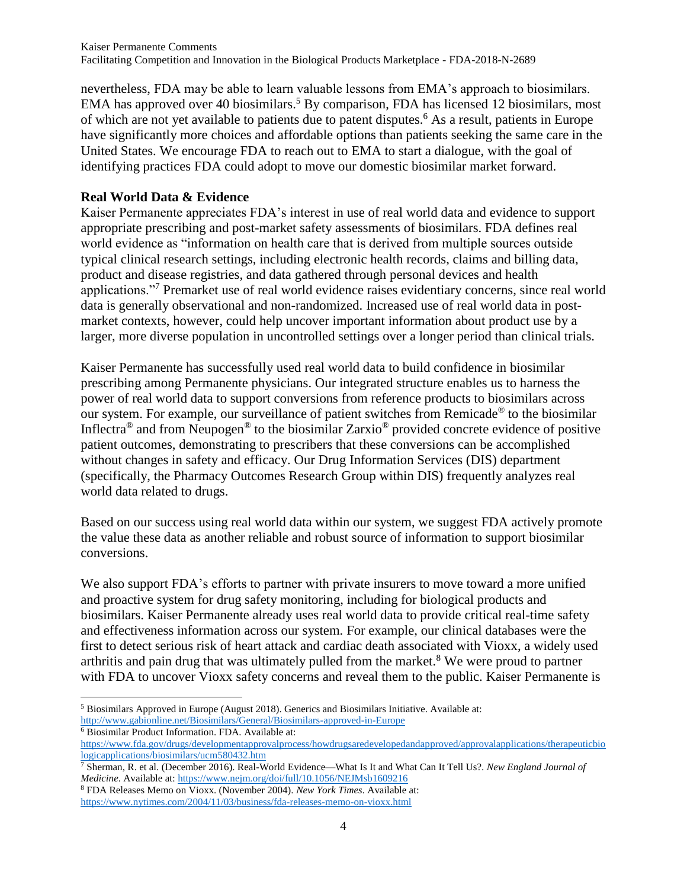nevertheless, FDA may be able to learn valuable lessons from EMA's approach to biosimilars. EMA has approved over 40 biosimilars.<sup>5</sup> By comparison, FDA has licensed 12 biosimilars, most of which are not yet available to patients due to patent disputes.<sup>6</sup> As a result, patients in Europe have significantly more choices and affordable options than patients seeking the same care in the United States. We encourage FDA to reach out to EMA to start a dialogue, with the goal of identifying practices FDA could adopt to move our domestic biosimilar market forward.

## **Real World Data & Evidence**

Kaiser Permanente appreciates FDA's interest in use of real world data and evidence to support appropriate prescribing and post-market safety assessments of biosimilars. FDA defines real world evidence as "information on health care that is derived from multiple sources outside typical clinical research settings, including electronic health records, claims and billing data, product and disease registries, and data gathered through personal devices and health applications."<sup>7</sup> Premarket use of real world evidence raises evidentiary concerns, since real world data is generally observational and non-randomized. Increased use of real world data in postmarket contexts, however, could help uncover important information about product use by a larger, more diverse population in uncontrolled settings over a longer period than clinical trials.

Kaiser Permanente has successfully used real world data to build confidence in biosimilar prescribing among Permanente physicians. Our integrated structure enables us to harness the power of real world data to support conversions from reference products to biosimilars across our system. For example, our surveillance of patient switches from Remicade® to the biosimilar Inflectra® and from Neupogen® to the biosimilar Zarxio® provided concrete evidence of positive patient outcomes, demonstrating to prescribers that these conversions can be accomplished without changes in safety and efficacy. Our Drug Information Services (DIS) department (specifically, the Pharmacy Outcomes Research Group within DIS) frequently analyzes real world data related to drugs.

Based on our success using real world data within our system, we suggest FDA actively promote the value these data as another reliable and robust source of information to support biosimilar conversions.

We also support FDA's efforts to partner with private insurers to move toward a more unified and proactive system for drug safety monitoring, including for biological products and biosimilars. Kaiser Permanente already uses real world data to provide critical real-time safety and effectiveness information across our system. For example, our clinical databases were the first to detect serious risk of heart attack and cardiac death associated with Vioxx, a widely used arthritis and pain drug that was ultimately pulled from the market.<sup>8</sup> We were proud to partner with FDA to uncover Vioxx safety concerns and reveal them to the public. Kaiser Permanente is

<sup>6</sup> Biosimilar Product Information. FDA. Available at:

l <sup>5</sup> Biosimilars Approved in Europe (August 2018). Generics and Biosimilars Initiative. Available at: <http://www.gabionline.net/Biosimilars/General/Biosimilars-approved-in-Europe>

[https://www.fda.gov/drugs/developmentapprovalprocess/howdrugsaredevelopedandapproved/approvalapplications/therapeuticbio](https://www.fda.gov/drugs/developmentapprovalprocess/howdrugsaredevelopedandapproved/approvalapplications/therapeuticbiologicapplications/biosimilars/ucm580432.htm) [logicapplications/biosimilars/ucm580432.htm](https://www.fda.gov/drugs/developmentapprovalprocess/howdrugsaredevelopedandapproved/approvalapplications/therapeuticbiologicapplications/biosimilars/ucm580432.htm)

<sup>7</sup> Sherman, R. et al. (December 2016). Real-World Evidence—What Is It and What Can It Tell Us?. *New England Journal of Medicine*. Available at[: https://www.nejm.org/doi/full/10.1056/NEJMsb1609216](https://www.nejm.org/doi/full/10.1056/NEJMsb1609216)

<sup>8</sup> FDA Releases Memo on Vioxx. (November 2004). *New York Times*. Available at: <https://www.nytimes.com/2004/11/03/business/fda-releases-memo-on-vioxx.html>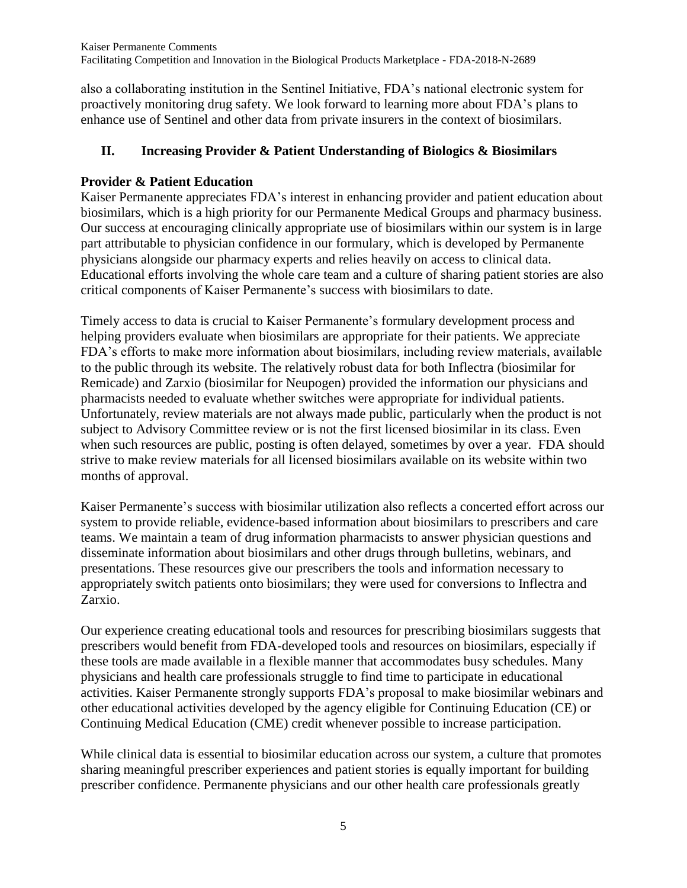also a collaborating institution in the Sentinel Initiative, FDA's national electronic system for proactively monitoring drug safety. We look forward to learning more about FDA's plans to enhance use of Sentinel and other data from private insurers in the context of biosimilars.

# **II. Increasing Provider & Patient Understanding of Biologics & Biosimilars**

## **Provider & Patient Education**

Kaiser Permanente appreciates FDA's interest in enhancing provider and patient education about biosimilars, which is a high priority for our Permanente Medical Groups and pharmacy business. Our success at encouraging clinically appropriate use of biosimilars within our system is in large part attributable to physician confidence in our formulary, which is developed by Permanente physicians alongside our pharmacy experts and relies heavily on access to clinical data. Educational efforts involving the whole care team and a culture of sharing patient stories are also critical components of Kaiser Permanente's success with biosimilars to date.

Timely access to data is crucial to Kaiser Permanente's formulary development process and helping providers evaluate when biosimilars are appropriate for their patients. We appreciate FDA's efforts to make more information about biosimilars, including review materials, available to the public through its website. The relatively robust data for both Inflectra (biosimilar for Remicade) and Zarxio (biosimilar for Neupogen) provided the information our physicians and pharmacists needed to evaluate whether switches were appropriate for individual patients. Unfortunately, review materials are not always made public, particularly when the product is not subject to Advisory Committee review or is not the first licensed biosimilar in its class. Even when such resources are public, posting is often delayed, sometimes by over a year. FDA should strive to make review materials for all licensed biosimilars available on its website within two months of approval.

Kaiser Permanente's success with biosimilar utilization also reflects a concerted effort across our system to provide reliable, evidence-based information about biosimilars to prescribers and care teams. We maintain a team of drug information pharmacists to answer physician questions and disseminate information about biosimilars and other drugs through bulletins, webinars, and presentations. These resources give our prescribers the tools and information necessary to appropriately switch patients onto biosimilars; they were used for conversions to Inflectra and Zarxio.

Our experience creating educational tools and resources for prescribing biosimilars suggests that prescribers would benefit from FDA-developed tools and resources on biosimilars, especially if these tools are made available in a flexible manner that accommodates busy schedules. Many physicians and health care professionals struggle to find time to participate in educational activities. Kaiser Permanente strongly supports FDA's proposal to make biosimilar webinars and other educational activities developed by the agency eligible for Continuing Education (CE) or Continuing Medical Education (CME) credit whenever possible to increase participation.

While clinical data is essential to biosimilar education across our system, a culture that promotes sharing meaningful prescriber experiences and patient stories is equally important for building prescriber confidence. Permanente physicians and our other health care professionals greatly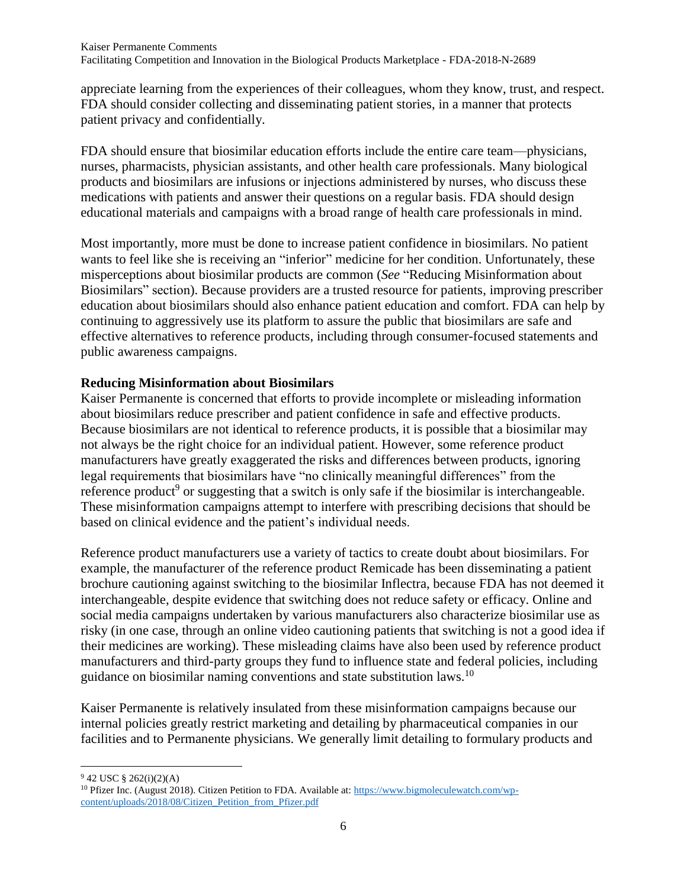appreciate learning from the experiences of their colleagues, whom they know, trust, and respect. FDA should consider collecting and disseminating patient stories, in a manner that protects patient privacy and confidentially.

FDA should ensure that biosimilar education efforts include the entire care team—physicians, nurses, pharmacists, physician assistants, and other health care professionals. Many biological products and biosimilars are infusions or injections administered by nurses, who discuss these medications with patients and answer their questions on a regular basis. FDA should design educational materials and campaigns with a broad range of health care professionals in mind.

Most importantly, more must be done to increase patient confidence in biosimilars. No patient wants to feel like she is receiving an "inferior" medicine for her condition. Unfortunately, these misperceptions about biosimilar products are common (*See* "Reducing Misinformation about Biosimilars" section). Because providers are a trusted resource for patients, improving prescriber education about biosimilars should also enhance patient education and comfort. FDA can help by continuing to aggressively use its platform to assure the public that biosimilars are safe and effective alternatives to reference products, including through consumer-focused statements and public awareness campaigns.

## **Reducing Misinformation about Biosimilars**

Kaiser Permanente is concerned that efforts to provide incomplete or misleading information about biosimilars reduce prescriber and patient confidence in safe and effective products. Because biosimilars are not identical to reference products, it is possible that a biosimilar may not always be the right choice for an individual patient. However, some reference product manufacturers have greatly exaggerated the risks and differences between products, ignoring legal requirements that biosimilars have "no clinically meaningful differences" from the reference product<sup>9</sup> or suggesting that a switch is only safe if the biosimilar is interchangeable. These misinformation campaigns attempt to interfere with prescribing decisions that should be based on clinical evidence and the patient's individual needs.

Reference product manufacturers use a variety of tactics to create doubt about biosimilars. For example, the manufacturer of the reference product Remicade has been disseminating a patient brochure cautioning against switching to the biosimilar Inflectra, because FDA has not deemed it interchangeable, despite evidence that switching does not reduce safety or efficacy. Online and social media campaigns undertaken by various manufacturers also characterize biosimilar use as risky (in one case, through an online video cautioning patients that switching is not a good idea if their medicines are working). These misleading claims have also been used by reference product manufacturers and third-party groups they fund to influence state and federal policies, including guidance on biosimilar naming conventions and state substitution laws.<sup>10</sup>

Kaiser Permanente is relatively insulated from these misinformation campaigns because our internal policies greatly restrict marketing and detailing by pharmaceutical companies in our facilities and to Permanente physicians. We generally limit detailing to formulary products and

 $\overline{\phantom{a}}$  $942$  USC  $§ 262(i)(2)(A)$ 

<sup>10</sup> Pfizer Inc. (August 2018). Citizen Petition to FDA. Available at[: https://www.bigmoleculewatch.com/wp](https://www.bigmoleculewatch.com/wp-content/uploads/2018/08/Citizen_Petition_from_Pfizer.pdf)[content/uploads/2018/08/Citizen\\_Petition\\_from\\_Pfizer.pdf](https://www.bigmoleculewatch.com/wp-content/uploads/2018/08/Citizen_Petition_from_Pfizer.pdf)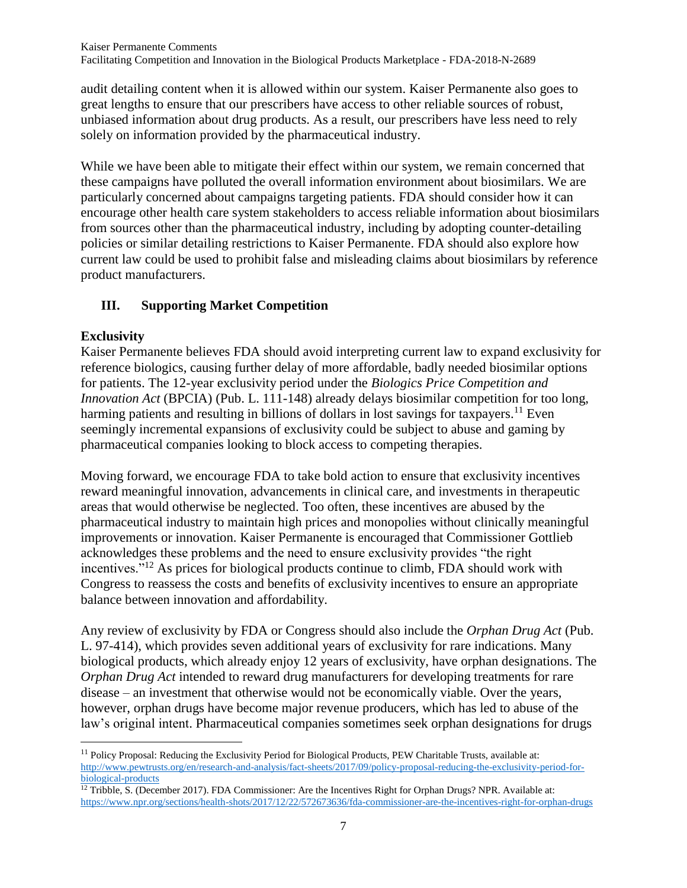audit detailing content when it is allowed within our system. Kaiser Permanente also goes to great lengths to ensure that our prescribers have access to other reliable sources of robust, unbiased information about drug products. As a result, our prescribers have less need to rely solely on information provided by the pharmaceutical industry.

While we have been able to mitigate their effect within our system, we remain concerned that these campaigns have polluted the overall information environment about biosimilars. We are particularly concerned about campaigns targeting patients. FDA should consider how it can encourage other health care system stakeholders to access reliable information about biosimilars from sources other than the pharmaceutical industry, including by adopting counter-detailing policies or similar detailing restrictions to Kaiser Permanente. FDA should also explore how current law could be used to prohibit false and misleading claims about biosimilars by reference product manufacturers.

## **III. Supporting Market Competition**

## **Exclusivity**

 $\overline{\phantom{a}}$ 

Kaiser Permanente believes FDA should avoid interpreting current law to expand exclusivity for reference biologics, causing further delay of more affordable, badly needed biosimilar options for patients. The 12-year exclusivity period under the *Biologics Price Competition and Innovation Act* (BPCIA) (Pub. L. 111-148) already delays biosimilar competition for too long, harming patients and resulting in billions of dollars in lost savings for taxpayers.<sup>11</sup> Even seemingly incremental expansions of exclusivity could be subject to abuse and gaming by pharmaceutical companies looking to block access to competing therapies.

Moving forward, we encourage FDA to take bold action to ensure that exclusivity incentives reward meaningful innovation, advancements in clinical care, and investments in therapeutic areas that would otherwise be neglected. Too often, these incentives are abused by the pharmaceutical industry to maintain high prices and monopolies without clinically meaningful improvements or innovation. Kaiser Permanente is encouraged that Commissioner Gottlieb acknowledges these problems and the need to ensure exclusivity provides "the right incentives.<sup>"12</sup> As prices for biological products continue to climb, FDA should work with Congress to reassess the costs and benefits of exclusivity incentives to ensure an appropriate balance between innovation and affordability.

Any review of exclusivity by FDA or Congress should also include the *Orphan Drug Act* (Pub. L. 97-414), which provides seven additional years of exclusivity for rare indications. Many biological products, which already enjoy 12 years of exclusivity, have orphan designations. The *Orphan Drug Act* intended to reward drug manufacturers for developing treatments for rare disease – an investment that otherwise would not be economically viable. Over the years, however, orphan drugs have become major revenue producers, which has led to abuse of the law's original intent. Pharmaceutical companies sometimes seek orphan designations for drugs

<sup>&</sup>lt;sup>11</sup> Policy Proposal: Reducing the Exclusivity Period for Biological Products, PEW Charitable Trusts, available at: [http://www.pewtrusts.org/en/research-and-analysis/fact-sheets/2017/09/policy-proposal-reducing-the-exclusivity-period-for](http://www.pewtrusts.org/en/research-and-analysis/fact-sheets/2017/09/policy-proposal-reducing-the-exclusivity-period-for-biological-products)[biological-products](http://www.pewtrusts.org/en/research-and-analysis/fact-sheets/2017/09/policy-proposal-reducing-the-exclusivity-period-for-biological-products)

<sup>&</sup>lt;sup>12</sup> Tribble, S. (December 2017). FDA Commissioner: Are the Incentives Right for Orphan Drugs? NPR. Available at: <https://www.npr.org/sections/health-shots/2017/12/22/572673636/fda-commissioner-are-the-incentives-right-for-orphan-drugs>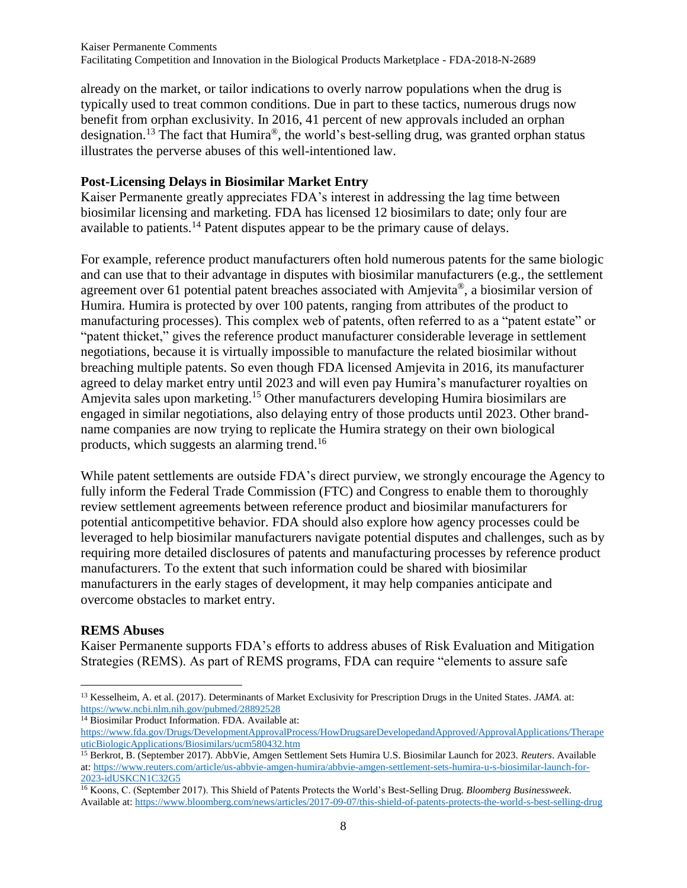already on the market, or tailor indications to overly narrow populations when the drug is typically used to treat common conditions. Due in part to these tactics, numerous drugs now benefit from orphan exclusivity. In 2016, 41 percent of new approvals included an orphan designation.<sup>13</sup> The fact that Humira®, the world's best-selling drug, was granted orphan status illustrates the perverse abuses of this well-intentioned law.

### **Post-Licensing Delays in Biosimilar Market Entry**

Kaiser Permanente greatly appreciates FDA's interest in addressing the lag time between biosimilar licensing and marketing. FDA has licensed 12 biosimilars to date; only four are available to patients.<sup>14</sup> Patent disputes appear to be the primary cause of delays.

For example, reference product manufacturers often hold numerous patents for the same biologic and can use that to their advantage in disputes with biosimilar manufacturers (e.g., the settlement agreement over 61 potential patent breaches associated with Amjevita®, a biosimilar version of Humira. Humira is protected by over 100 patents, ranging from attributes of the product to manufacturing processes). This complex web of patents, often referred to as a "patent estate" or "patent thicket," gives the reference product manufacturer considerable leverage in settlement negotiations, because it is virtually impossible to manufacture the related biosimilar without breaching multiple patents. So even though FDA licensed Amjevita in 2016, its manufacturer agreed to delay market entry until 2023 and will even pay Humira's manufacturer royalties on Amjevita sales upon marketing. <sup>15</sup> Other manufacturers developing Humira biosimilars are engaged in similar negotiations, also delaying entry of those products until 2023. Other brandname companies are now trying to replicate the Humira strategy on their own biological products, which suggests an alarming trend.<sup>16</sup>

While patent settlements are outside FDA's direct purview, we strongly encourage the Agency to fully inform the Federal Trade Commission (FTC) and Congress to enable them to thoroughly review settlement agreements between reference product and biosimilar manufacturers for potential anticompetitive behavior. FDA should also explore how agency processes could be leveraged to help biosimilar manufacturers navigate potential disputes and challenges, such as by requiring more detailed disclosures of patents and manufacturing processes by reference product manufacturers. To the extent that such information could be shared with biosimilar manufacturers in the early stages of development, it may help companies anticipate and overcome obstacles to market entry.

### **REMS Abuses**

Kaiser Permanente supports FDA's efforts to address abuses of Risk Evaluation and Mitigation Strategies (REMS). As part of REMS programs, FDA can require "elements to assure safe

 $\overline{\phantom{a}}$ <sup>13</sup> Kesselheim, A. et al. (2017). Determinants of Market Exclusivity for Prescription Drugs in the United States. *JAMA.* at: <https://www.ncbi.nlm.nih.gov/pubmed/28892528>

<sup>&</sup>lt;sup>14</sup> Biosimilar Product Information. FDA. Available at: [https://www.fda.gov/Drugs/DevelopmentApprovalProcess/HowDrugsareDevelopedandApproved/ApprovalApplications/Therape](https://www.fda.gov/Drugs/DevelopmentApprovalProcess/HowDrugsareDevelopedandApproved/ApprovalApplications/TherapeuticBiologicApplications/Biosimilars/ucm580432.htm) [uticBiologicApplications/Biosimilars/ucm580432.htm](https://www.fda.gov/Drugs/DevelopmentApprovalProcess/HowDrugsareDevelopedandApproved/ApprovalApplications/TherapeuticBiologicApplications/Biosimilars/ucm580432.htm)

<sup>15</sup> Berkrot, B. (September 2017). AbbVie, Amgen Settlement Sets Humira U.S. Biosimilar Launch for 2023. *Reuters*. Available at: [https://www.reuters.com/article/us-abbvie-amgen-humira/abbvie-amgen-settlement-sets-humira-u-s-biosimilar-launch-for-](https://www.reuters.com/article/us-abbvie-amgen-humira/abbvie-amgen-settlement-sets-humira-u-s-biosimilar-launch-for-2023-idUSKCN1C32G5)[2023-idUSKCN1C32G5](https://www.reuters.com/article/us-abbvie-amgen-humira/abbvie-amgen-settlement-sets-humira-u-s-biosimilar-launch-for-2023-idUSKCN1C32G5)

<sup>16</sup> Koons, C. (September 2017). This Shield of Patents Protects the World's Best-Selling Drug. *Bloomberg Businessweek*. Available at: <https://www.bloomberg.com/news/articles/2017-09-07/this-shield-of-patents-protects-the-world-s-best-selling-drug>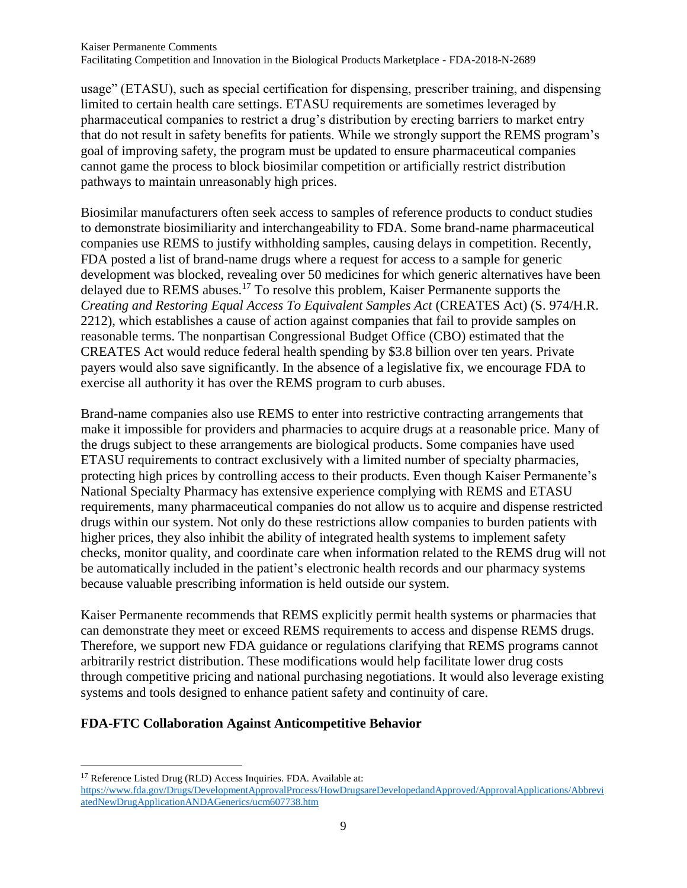usage" (ETASU), such as special certification for dispensing, prescriber training, and dispensing limited to certain health care settings. ETASU requirements are sometimes leveraged by pharmaceutical companies to restrict a drug's distribution by erecting barriers to market entry that do not result in safety benefits for patients. While we strongly support the REMS program's goal of improving safety, the program must be updated to ensure pharmaceutical companies cannot game the process to block biosimilar competition or artificially restrict distribution pathways to maintain unreasonably high prices.

Biosimilar manufacturers often seek access to samples of reference products to conduct studies to demonstrate biosimiliarity and interchangeability to FDA. Some brand-name pharmaceutical companies use REMS to justify withholding samples, causing delays in competition. Recently, FDA posted a list of brand-name drugs where a request for access to a sample for generic development was blocked, revealing over 50 medicines for which generic alternatives have been delayed due to REMS abuses.<sup>17</sup> To resolve this problem, Kaiser Permanente supports the *Creating and Restoring Equal Access To Equivalent Samples Act* (CREATES Act) (S. 974/H.R. 2212), which establishes a cause of action against companies that fail to provide samples on reasonable terms. The nonpartisan Congressional Budget Office (CBO) estimated that the CREATES Act would reduce federal health spending by \$3.8 billion over ten years. Private payers would also save significantly. In the absence of a legislative fix, we encourage FDA to exercise all authority it has over the REMS program to curb abuses.

Brand-name companies also use REMS to enter into restrictive contracting arrangements that make it impossible for providers and pharmacies to acquire drugs at a reasonable price. Many of the drugs subject to these arrangements are biological products. Some companies have used ETASU requirements to contract exclusively with a limited number of specialty pharmacies, protecting high prices by controlling access to their products. Even though Kaiser Permanente's National Specialty Pharmacy has extensive experience complying with REMS and ETASU requirements, many pharmaceutical companies do not allow us to acquire and dispense restricted drugs within our system. Not only do these restrictions allow companies to burden patients with higher prices, they also inhibit the ability of integrated health systems to implement safety checks, monitor quality, and coordinate care when information related to the REMS drug will not be automatically included in the patient's electronic health records and our pharmacy systems because valuable prescribing information is held outside our system.

Kaiser Permanente recommends that REMS explicitly permit health systems or pharmacies that can demonstrate they meet or exceed REMS requirements to access and dispense REMS drugs. Therefore, we support new FDA guidance or regulations clarifying that REMS programs cannot arbitrarily restrict distribution. These modifications would help facilitate lower drug costs through competitive pricing and national purchasing negotiations. It would also leverage existing systems and tools designed to enhance patient safety and continuity of care.

### **FDA-FTC Collaboration Against Anticompetitive Behavior**

 $\overline{\phantom{a}}$ 

<sup>&</sup>lt;sup>17</sup> Reference Listed Drug (RLD) Access Inquiries. FDA. Available at: [https://www.fda.gov/Drugs/DevelopmentApprovalProcess/HowDrugsareDevelopedandApproved/ApprovalApplications/Abbrevi](https://www.fda.gov/Drugs/DevelopmentApprovalProcess/HowDrugsareDevelopedandApproved/ApprovalApplications/AbbreviatedNewDrugApplicationANDAGenerics/ucm607738.htm) [atedNewDrugApplicationANDAGenerics/ucm607738.htm](https://www.fda.gov/Drugs/DevelopmentApprovalProcess/HowDrugsareDevelopedandApproved/ApprovalApplications/AbbreviatedNewDrugApplicationANDAGenerics/ucm607738.htm)